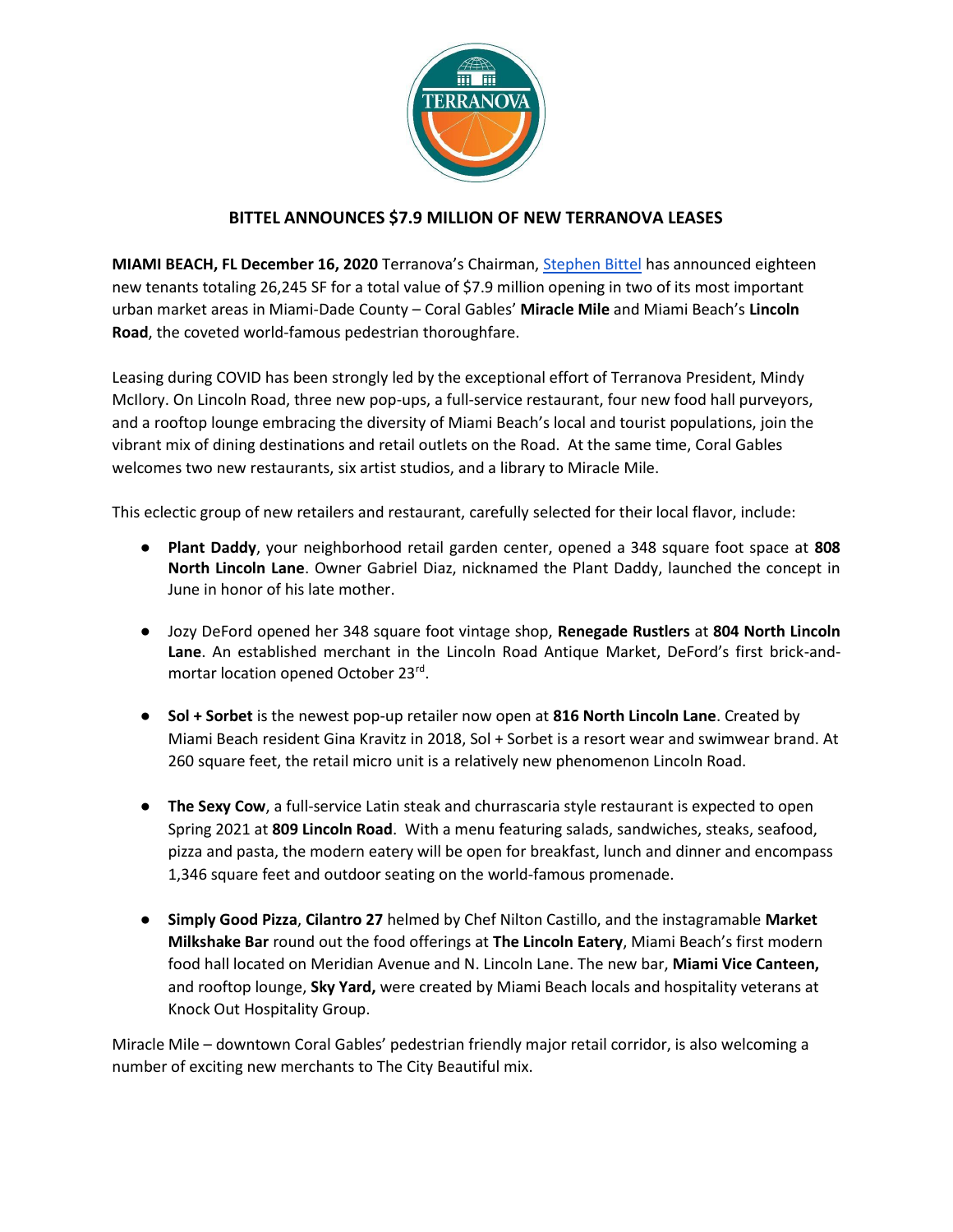

## **BITTEL ANNOUNCES \$7.9 MILLION OF NEW TERRANOVA LEASES**

**MIAMI BEACH, FL December 16, 2020** Terranova's Chairman, [Stephen Bittel](https://www.stephenbittel.co/) has announced eighteen new tenants totaling 26,245 SF for a total value of \$7.9 million opening in two of its most important urban market areas in Miami-Dade County – Coral Gables' **Miracle Mile** and Miami Beach's **Lincoln Road**, the coveted world-famous pedestrian thoroughfare.

Leasing during COVID has been strongly led by the exceptional effort of Terranova President, Mindy McIlory. On Lincoln Road, three new pop-ups, a full-service restaurant, four new food hall purveyors, and a rooftop lounge embracing the diversity of Miami Beach's local and tourist populations, join the vibrant mix of dining destinations and retail outlets on the Road. At the same time, Coral Gables welcomes two new restaurants, six artist studios, and a library to Miracle Mile.

This eclectic group of new retailers and restaurant, carefully selected for their local flavor, include:

- **Plant Daddy**, your neighborhood retail garden center, opened a 348 square foot space at **808 North Lincoln Lane**. Owner Gabriel Diaz, nicknamed the Plant Daddy, launched the concept in June in honor of his late mother.
- Jozy DeFord opened her 348 square foot vintage shop, **Renegade Rustlers** at **804 North Lincoln Lane**. An established merchant in the Lincoln Road Antique Market, DeFord's first brick-andmortar location opened October 23rd.
- **Sol + Sorbet** is the newest pop-up retailer now open at **816 North Lincoln Lane**. Created by Miami Beach resident Gina Kravitz in 2018, Sol + Sorbet is a resort wear and swimwear brand. At 260 square feet, the retail micro unit is a relatively new phenomenon Lincoln Road.
- **The Sexy Cow**, a full-service Latin steak and churrascaria style restaurant is expected to open Spring 2021 at **809 Lincoln Road**. With a menu featuring salads, sandwiches, steaks, seafood, pizza and pasta, the modern eatery will be open for breakfast, lunch and dinner and encompass 1,346 square feet and outdoor seating on the world-famous promenade.
- **Simply Good Pizza**, **Cilantro 27** helmed by Chef Nilton Castillo, and the instagramable **Market Milkshake Bar** round out the food offerings at **The Lincoln Eatery**, Miami Beach's first modern food hall located on Meridian Avenue and N. Lincoln Lane. The new bar, **Miami Vice Canteen,**  and rooftop lounge, **Sky Yard,** were created by Miami Beach locals and hospitality veterans at Knock Out Hospitality Group.

Miracle Mile – downtown Coral Gables' pedestrian friendly major retail corridor, is also welcoming a number of exciting new merchants to The City Beautiful mix.